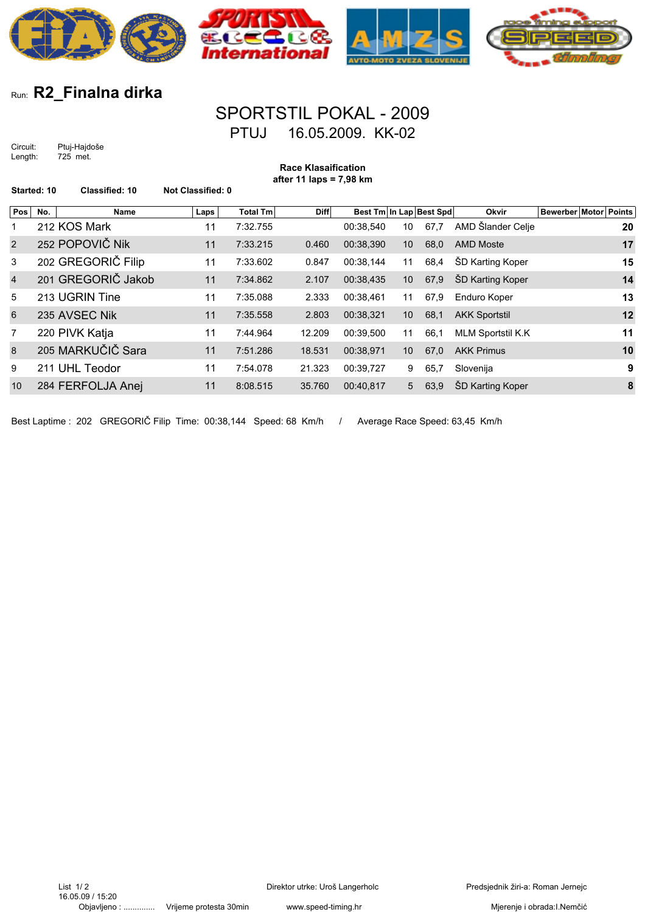

## Run: **R2\_Finalna dirka**

## SPORTSTIL POKAL - 2009 PTUJ 16.05.2009. KK-02

Circuit: Ptuj-Hajdoše Length: 725 met.

| <b>Race Klasaification</b><br>after 11 laps = $7,98$ km<br>Started: 10 |     |                       |                          |                 |             |                         |                 |      |                          |                              |
|------------------------------------------------------------------------|-----|-----------------------|--------------------------|-----------------|-------------|-------------------------|-----------------|------|--------------------------|------------------------------|
|                                                                        |     | <b>Classified: 10</b> | <b>Not Classified: 0</b> |                 |             |                         |                 |      |                          |                              |
| Pos                                                                    | No. | Name                  | Laps                     | <b>Total Tm</b> | <b>Diff</b> | Best Tm In Lap Best Spd |                 |      | Okvir                    | <b>Bewerber Motor Points</b> |
| 1                                                                      |     | 212 KOS Mark          | 11                       | 7:32.755        |             | 00:38,540               | 10              | 67,7 | AMD Šlander Celje        | 20                           |
| $\overline{2}$                                                         |     | 252 POPOVIČ Nik       | 11                       | 7:33.215        | 0.460       | 00:38,390               | 10 <sup>°</sup> | 68,0 | <b>AMD Moste</b>         | 17                           |
| 3                                                                      |     | 202 GREGORIČ Filip    | 11                       | 7:33.602        | 0.847       | 00:38,144               | 11              | 68,4 | <b>SD Karting Koper</b>  | 15                           |
| $\overline{4}$                                                         |     | 201 GREGORIČ Jakob    | 11                       | 7:34.862        | 2.107       | 00:38,435               | 10 <sup>°</sup> | 67,9 | ŠD Karting Koper         | 14                           |
| 5                                                                      |     | 213 UGRIN Tine        | 11                       | 7:35.088        | 2.333       | 00:38,461               | 11              | 67,9 | Enduro Koper             | 13                           |
| 6                                                                      |     | 235 AVSEC Nik         | 11                       | 7:35.558        | 2.803       | 00:38,321               | 10 <sup>°</sup> | 68,1 | <b>AKK Sportstil</b>     | 12                           |
| 7                                                                      |     | 220 PIVK Katja        | 11                       | 7:44.964        | 12.209      | 00:39,500               | 11              | 66,1 | <b>MLM Sportstil K.K</b> | 11                           |
| 8                                                                      |     | 205 MARKUČIČ Sara     | 11                       | 7:51.286        | 18.531      | 00:38,971               | 10 <sup>°</sup> | 67,0 | <b>AKK Primus</b>        | 10                           |
| 9                                                                      |     | 211 UHL Teodor        | 11                       | 7:54.078        | 21.323      | 00:39,727               | 9               | 65,7 | Slovenija                | 9                            |
| 10                                                                     |     | 284 FERFOLJA Anej     | 11                       | 8:08.515        | 35.760      | 00:40,817               | 5               | 63,9 | <b>SD Karting Koper</b>  | 8                            |
|                                                                        |     |                       |                          |                 |             |                         |                 |      |                          |                              |

Best Laptime : 202 GREGORIČ Filip Time: 00:38,144 Speed: 68 Km/h / Average Race Speed: 63,45 Km/h